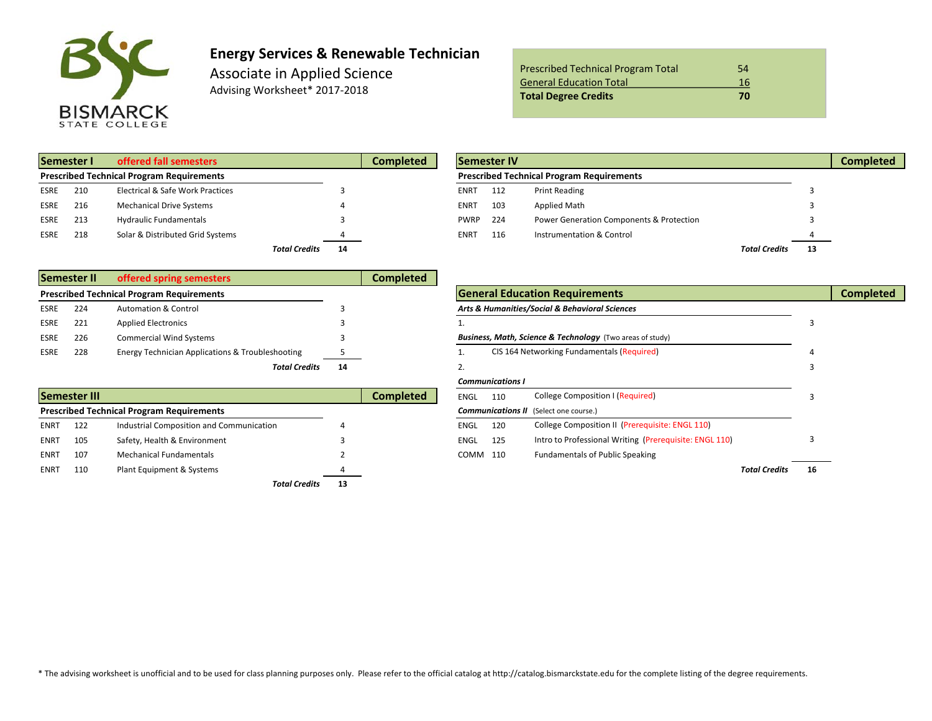

# **Energy Services & Renewable Technician**

Associate in Applied Science Advising Worksheet\* 2017-2018

| <b>Prescribed Technical Program Total</b> | 54 |
|-------------------------------------------|----|
| <b>General Education Total</b>            | 16 |
| <b>Total Degree Credits</b>               | 70 |

|             | Semester I | offered fall semesters                           |                      |    | Completed |             | <b>Semester IV</b> |                                                  |                      |  |
|-------------|------------|--------------------------------------------------|----------------------|----|-----------|-------------|--------------------|--------------------------------------------------|----------------------|--|
|             |            | <b>Prescribed Technical Program Requirements</b> |                      |    |           |             |                    | <b>Prescribed Technical Program Requirements</b> |                      |  |
| <b>ESRE</b> | 210        | Electrical & Safe Work Practices                 |                      |    |           | ENRT        | 112                | <b>Print Reading</b>                             |                      |  |
| <b>ESRE</b> | 216        | <b>Mechanical Drive Systems</b>                  |                      |    |           | <b>ENRT</b> | 103                | <b>Applied Math</b>                              |                      |  |
| <b>ESRE</b> | 213        | <b>Hydraulic Fundamentals</b>                    |                      |    |           | <b>PWRP</b> | 224                | Power Generation Components & Protection         |                      |  |
| <b>ESRE</b> | 218        | Solar & Distributed Grid Systems                 |                      |    |           | ENRT        | 116                | Instrumentation & Control                        |                      |  |
|             |            |                                                  | <b>Total Credits</b> | 14 |           |             |                    |                                                  | <b>Total Credits</b> |  |

|             | Semester II<br>offered spring semesters |                                                  | Completed |  |                                                                      |  |
|-------------|-----------------------------------------|--------------------------------------------------|-----------|--|----------------------------------------------------------------------|--|
|             |                                         | <b>Prescribed Technical Program Requirements</b> |           |  | <b>General Education Requirements</b>                                |  |
| ESRE        | 224                                     | <b>Automation &amp; Control</b>                  |           |  | Arts & Humanities/Social & Behavioral Sciences                       |  |
| <b>ESRE</b> | 221                                     | <b>Applied Electronics</b>                       |           |  |                                                                      |  |
| ESRE        | 226                                     | <b>Commercial Wind Systems</b>                   |           |  | <b>Business, Math, Science &amp; Technology</b> (Two areas of study) |  |
| ESRE        | 228                                     | Energy Technician Applications & Troubleshooting |           |  | CIS 164 Networking Fundamentals (Required)                           |  |
|             |                                         | <b>Total Credits</b>                             | 14        |  |                                                                      |  |

|                                                  | <b>Semester III</b> |                                          |    | Completed | <b>ENGL</b> | 110 | College Composition I (Required)                       |    |
|--------------------------------------------------|---------------------|------------------------------------------|----|-----------|-------------|-----|--------------------------------------------------------|----|
| <b>Prescribed Technical Program Requirements</b> |                     |                                          |    |           |             |     | <b>Communications II</b> (Select one course.)          |    |
| <b>ENRT</b>                                      | 122                 | Industrial Composition and Communication |    |           | <b>ENGL</b> | 120 | College Composition II (Prerequisite: ENGL 110)        |    |
| <b>ENRT</b>                                      | 105                 | Safety, Health & Environment             |    |           | ENGL        | 125 | Intro to Professional Writing (Prerequisite: ENGL 110) |    |
| <b>ENRT</b>                                      | 107                 | <b>Mechanical Fundamentals</b>           |    |           | COMM 110    |     | <b>Fundamentals of Public Speaking</b>                 |    |
| <b>ENRT</b>                                      | 110                 | Plant Equipment & Systems                |    |           |             |     | <b>Total Credits</b>                                   | 16 |
|                                                  |                     | <b>Total Credits</b>                     | 13 |           |             |     |                                                        |    |

|      | Semester I                                       | offered fall semesters           |    | <b>Completed</b> | <b>ISemester IV</b> |                                                  |                                          |                      |    |  |  |  |
|------|--------------------------------------------------|----------------------------------|----|------------------|---------------------|--------------------------------------------------|------------------------------------------|----------------------|----|--|--|--|
|      | <b>Prescribed Technical Program Requirements</b> |                                  |    |                  |                     | <b>Prescribed Technical Program Requirements</b> |                                          |                      |    |  |  |  |
| ESRE | 210                                              | Electrical & Safe Work Practices |    |                  | <b>ENRT</b>         | 112                                              | <b>Print Reading</b>                     |                      |    |  |  |  |
| ESRE | 216                                              | <b>Mechanical Drive Systems</b>  |    |                  | <b>ENRT</b>         | 103                                              | Applied Math                             |                      |    |  |  |  |
| ESRE | 213                                              | <b>Hydraulic Fundamentals</b>    |    |                  | <b>PWRP</b> 224     |                                                  | Power Generation Components & Protection |                      |    |  |  |  |
| ESRE | 218                                              | Solar & Distributed Grid Systems |    |                  | <b>ENRT</b>         | 116                                              | Instrumentation & Control                |                      |    |  |  |  |
|      |                                                  | <b>Total Credits</b>             | 14 |                  |                     |                                                  |                                          | <b>Total Credits</b> | 13 |  |  |  |

|      |              |                                                             |    | -----------      |                                                           |                         |                                                        |                      |    |                  |
|------|--------------|-------------------------------------------------------------|----|------------------|-----------------------------------------------------------|-------------------------|--------------------------------------------------------|----------------------|----|------------------|
|      |              | <b>Prescribed Technical Program Requirements</b>            |    |                  |                                                           |                         | <b>General Education Requirements</b>                  |                      |    | <b>Completed</b> |
| ESRE | 224          | <b>Automation &amp; Control</b>                             |    |                  |                                                           |                         | Arts & Humanities/Social & Behavioral Sciences         |                      |    |                  |
| ESRE | 221          | <b>Applied Electronics</b>                                  |    |                  |                                                           |                         |                                                        |                      |    |                  |
| ESRE | 226          | <b>Commercial Wind Systems</b>                              |    |                  | Business, Math, Science & Technology (Two areas of study) |                         |                                                        |                      |    |                  |
| ESRE | 228          | <b>Energy Technician Applications &amp; Troubleshooting</b> |    |                  |                                                           |                         | CIS 164 Networking Fundamentals (Required)             |                      |    |                  |
|      |              | <b>Total Credits</b>                                        | 14 |                  |                                                           |                         |                                                        |                      |    |                  |
|      |              |                                                             |    |                  |                                                           | <b>Communications I</b> |                                                        |                      |    |                  |
|      | Semester III |                                                             |    | <b>Completed</b> | <b>ENGL</b>                                               | 110                     | <b>College Composition I (Required)</b>                |                      |    |                  |
|      |              | <b>Prescribed Technical Program Requirements</b>            |    |                  |                                                           |                         | <b>Communications II</b> (Select one course.)          |                      |    |                  |
| ENRT | 122          | Industrial Composition and Communication                    |    |                  | <b>ENGL</b>                                               | 120                     | College Composition II (Prerequisite: ENGL 110)        |                      |    |                  |
| ENRT | 105          | Safety, Health & Environment                                |    |                  | <b>ENGL</b>                                               | 125                     | Intro to Professional Writing (Prerequisite: ENGL 110) |                      |    |                  |
| ENRT | 107          | <b>Mechanical Fundamentals</b>                              |    |                  | COMM 110                                                  |                         | <b>Fundamentals of Public Speaking</b>                 |                      |    |                  |
| ENRT | 110          | Plant Equipment & Systems                                   |    |                  |                                                           |                         |                                                        | <b>Total Credits</b> | 16 |                  |
|      |              |                                                             |    |                  |                                                           |                         |                                                        |                      |    |                  |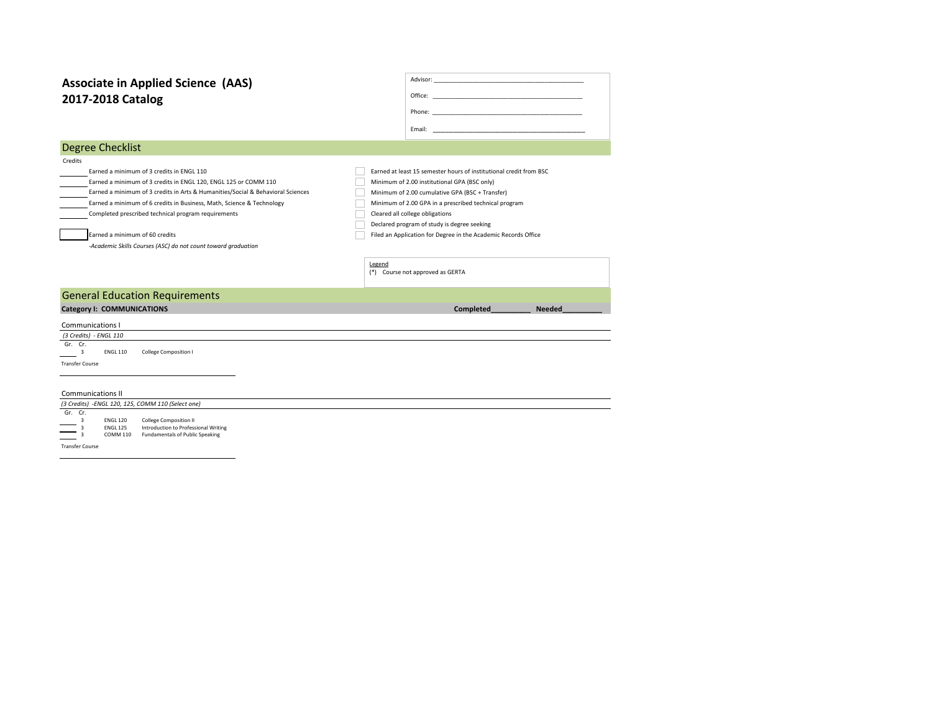# **2017-2018 Catalog Associate in Applied Science (AAS)**

| Office: |  | <u> 1980 - Jan Stein Stein Stein Stein Stein Stein Stein Stein Stein Stein Stein Stein Stein Stein Stein Stein S</u> |  |  |
|---------|--|----------------------------------------------------------------------------------------------------------------------|--|--|
| Phone:  |  | <u> 1980 - Jan Alexandria (h. 1980).</u>                                                                             |  |  |
| Fmail:  |  | the control of the control of the control of the control of                                                          |  |  |

#### Degree Checklist

| Credits |                                                                                 |                                                  |
|---------|---------------------------------------------------------------------------------|--------------------------------------------------|
|         | Earned a minimum of 3 credits in ENGL 110                                       | Earned at least 15 semester hours of institution |
|         | Earned a minimum of 3 credits in ENGL 120. ENGL 125 or COMM 110                 | Minimum of 2.00 institutional GPA (BSC only)     |
|         | Earned a minimum of 3 credits in Arts & Humanities/Social & Behavioral Sciences | Minimum of 2.00 cumulative GPA (BSC + Trans      |

Earned a minimum of 2.00 cumulative GPA (BSC + Transfer) Earned a minimum of 6 credits in Business, Math, Science & Technology Minimum of 2.00 GPA in a prescribed technical program Completed prescribed technical program requirements Cleared all college obligations

*-Academic Skills Courses (ASC) do not count toward graduation*

Earned at least 15 semester hours of institutional credit from BSC

Declared program of study is degree seeking **Earned a minimum of 60 credits** Filed an Application for Degree in the Academic Records Office

> Legend (\*) Course not approved as GERTA

### General Education Requirements

#### **Category I: COMMUNICATIONS Completed\_\_\_\_\_\_\_\_\_\_ Needed\_\_\_\_\_\_\_\_\_\_**

Communications I  *(3 Credits) - ENGL 110*  Gr. Cr.  $\frac{3}{3}$ ENGL 110 College Composition I Transfer Course

|         | <b>Communications II</b>                          |                 |                                      |  |  |  |  |  |  |  |
|---------|---------------------------------------------------|-----------------|--------------------------------------|--|--|--|--|--|--|--|
|         | (3 Credits) -ENGL 120, 125, COMM 110 (Select one) |                 |                                      |  |  |  |  |  |  |  |
| Gr. Cr. |                                                   |                 |                                      |  |  |  |  |  |  |  |
|         |                                                   | <b>ENGL 120</b> | <b>College Composition II</b>        |  |  |  |  |  |  |  |
|         |                                                   | <b>ENGL 175</b> | Introduction to Professional Writing |  |  |  |  |  |  |  |

3 ENGL 125 Introduction to Professional Writing 3 COMM 110 Fundamentals of Public Speaking

Transfer Course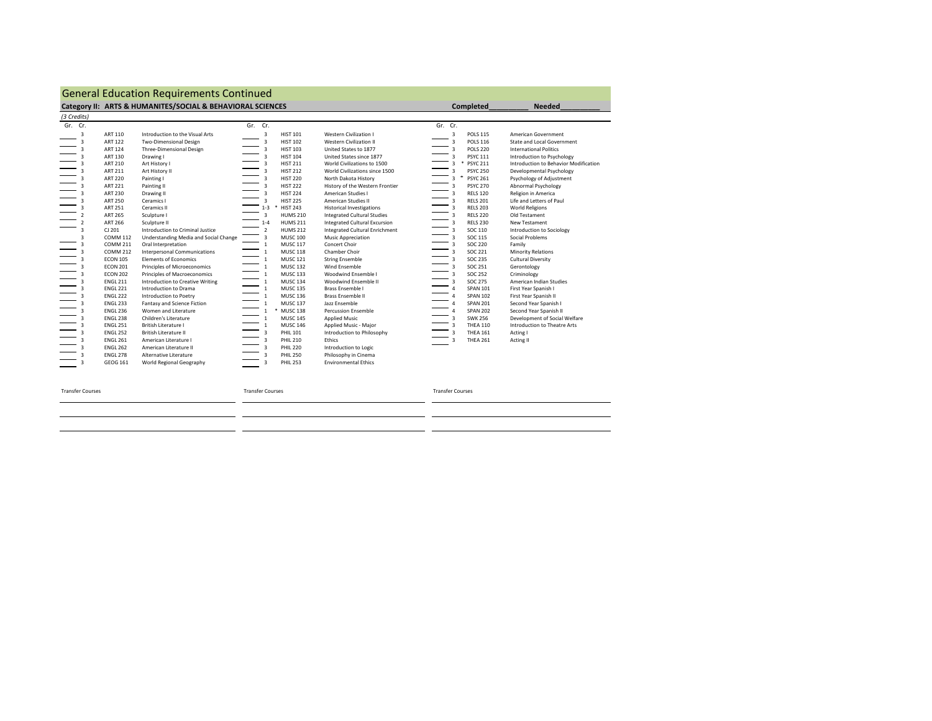## General Education Requirements Continued

|                                                                                                                                                                                                                                                                                                                                                                                                                                                                                                                                                                                                                    | Category II: ARTS & HUMANITES/SOCIAL & BEHAVIORAL SCIENCES                                                                                                                                                                                                                                                                                                                                                                                                                                                                                                                                                                                                                                    |                                                                                                                                                                                                                                                                                                                                                                                                                                                                                                                                                                                                                                                                                                                                                                                                                                                                                                                      |                                                                                                                                                                                                                                                                                                                                                                                                                                                                                                                                                                                                                                                                                                                                                     | <b>Completed</b>                                                                                                                                                                                                                                                                                                                                                                                                                                                                                                                                                                                                                                                                                                                                                                                                                 | <b>Needed</b>                                                                                                                                                                                                                                                                                                                                                                                                                                                                                                                                                                                                                                                                                      |
|--------------------------------------------------------------------------------------------------------------------------------------------------------------------------------------------------------------------------------------------------------------------------------------------------------------------------------------------------------------------------------------------------------------------------------------------------------------------------------------------------------------------------------------------------------------------------------------------------------------------|-----------------------------------------------------------------------------------------------------------------------------------------------------------------------------------------------------------------------------------------------------------------------------------------------------------------------------------------------------------------------------------------------------------------------------------------------------------------------------------------------------------------------------------------------------------------------------------------------------------------------------------------------------------------------------------------------|----------------------------------------------------------------------------------------------------------------------------------------------------------------------------------------------------------------------------------------------------------------------------------------------------------------------------------------------------------------------------------------------------------------------------------------------------------------------------------------------------------------------------------------------------------------------------------------------------------------------------------------------------------------------------------------------------------------------------------------------------------------------------------------------------------------------------------------------------------------------------------------------------------------------|-----------------------------------------------------------------------------------------------------------------------------------------------------------------------------------------------------------------------------------------------------------------------------------------------------------------------------------------------------------------------------------------------------------------------------------------------------------------------------------------------------------------------------------------------------------------------------------------------------------------------------------------------------------------------------------------------------------------------------------------------------|----------------------------------------------------------------------------------------------------------------------------------------------------------------------------------------------------------------------------------------------------------------------------------------------------------------------------------------------------------------------------------------------------------------------------------------------------------------------------------------------------------------------------------------------------------------------------------------------------------------------------------------------------------------------------------------------------------------------------------------------------------------------------------------------------------------------------------|----------------------------------------------------------------------------------------------------------------------------------------------------------------------------------------------------------------------------------------------------------------------------------------------------------------------------------------------------------------------------------------------------------------------------------------------------------------------------------------------------------------------------------------------------------------------------------------------------------------------------------------------------------------------------------------------------|
| (3 Credits)                                                                                                                                                                                                                                                                                                                                                                                                                                                                                                                                                                                                        |                                                                                                                                                                                                                                                                                                                                                                                                                                                                                                                                                                                                                                                                                               |                                                                                                                                                                                                                                                                                                                                                                                                                                                                                                                                                                                                                                                                                                                                                                                                                                                                                                                      |                                                                                                                                                                                                                                                                                                                                                                                                                                                                                                                                                                                                                                                                                                                                                     |                                                                                                                                                                                                                                                                                                                                                                                                                                                                                                                                                                                                                                                                                                                                                                                                                                  |                                                                                                                                                                                                                                                                                                                                                                                                                                                                                                                                                                                                                                                                                                    |
| Gr. Cr.                                                                                                                                                                                                                                                                                                                                                                                                                                                                                                                                                                                                            |                                                                                                                                                                                                                                                                                                                                                                                                                                                                                                                                                                                                                                                                                               | Gr. Cr.                                                                                                                                                                                                                                                                                                                                                                                                                                                                                                                                                                                                                                                                                                                                                                                                                                                                                                              |                                                                                                                                                                                                                                                                                                                                                                                                                                                                                                                                                                                                                                                                                                                                                     | Gr. Cr.                                                                                                                                                                                                                                                                                                                                                                                                                                                                                                                                                                                                                                                                                                                                                                                                                          |                                                                                                                                                                                                                                                                                                                                                                                                                                                                                                                                                                                                                                                                                                    |
| 3<br>ART 110<br><b>ART 122</b><br>3<br><b>ART 124</b><br>3<br>ART 130<br>3<br>ART 210<br>3<br>ART 211<br>3<br>3<br><b>ART 220</b><br><b>ART 221</b><br><b>ART 230</b><br>3<br><b>ART 250</b><br><b>ART 251</b><br><b>ART 265</b><br>$\overline{\phantom{a}}$<br><b>ART 266</b><br>3<br>CJ 201<br><b>COMM 112</b><br>3<br><b>COMM 211</b><br>3<br><b>COMM 212</b><br><b>ECON 105</b><br><b>ECON 201</b><br>з<br><b>ECON 202</b><br><b>ENGL 211</b><br>3<br><b>ENGL 221</b><br><b>ENGL 222</b><br>3<br><b>ENGL 233</b><br><b>ENGL 236</b><br>3<br><b>ENGL 238</b><br>$\overline{\mathbf{z}}$<br><b>ENGL 251</b><br>3 | Introduction to the Visual Arts<br><b>Two-Dimensional Design</b><br>Three-Dimensional Design<br>Drawing I<br>Art History I<br>Art History II<br>Painting I<br>Painting II<br>Drawing II<br>Ceramics I<br>Ceramics II<br>Sculpture I<br>Sculpture II<br>Introduction to Criminal Justice<br>Understanding Media and Social Change<br>Oral Interpretation<br><b>Interpersonal Communications</b><br><b>Elements of Economics</b><br>Principles of Microeconomics<br>Principles of Macroeconomics<br>Introduction to Creative Writing<br>Introduction to Drama<br>Introduction to Poetry<br>Fantasy and Science Fiction<br>Women and Literature<br>Children's Literature<br>British Literature I | 3<br><b>HIST 101</b><br>3<br><b>HIST 102</b><br>3<br><b>HIST 103</b><br>$\overline{\mathbf{3}}$<br><b>HIST 104</b><br>$\overline{\mathbf{3}}$<br><b>HIST 211</b><br>3<br><b>HIST 212</b><br>3<br><b>HIST 220</b><br>$\overline{\mathbf{3}}$<br><b>HIST 222</b><br><b>HIST 224</b><br>3<br>3<br><b>HIST 225</b><br><b>HIST 243</b><br>$1 - 3$<br>3<br><b>HUMS 210</b><br><b>HUMS 211</b><br>$1 - 4$<br>$\overline{2}$<br><b>HUMS 212</b><br>$\overline{\mathbf{3}}$<br><b>MUSC 100</b><br><b>MUSC 117</b><br>$\mathbf{1}$<br>$\mathbf{1}$<br><b>MUSC 118</b><br>$\mathbf{1}$<br><b>MUSC 121</b><br><b>MUSC 132</b><br>$\mathbf{1}$<br><b>MUSC 133</b><br>$\mathbf{1}$<br>$\mathbf{1}$<br><b>MUSC 134</b><br>$\mathbf{1}$<br><b>MUSC 135</b><br><b>MUSC 136</b><br>$\mathbf{1}$<br>$\mathbf{1}$<br><b>MUSC 137</b><br>* MUSC 138<br>$\mathbf{1}$<br><b>MUSC 145</b><br>$\mathbf{1}$<br><b>MUSC 146</b><br>$\mathbf{1}$ | Western Civilization I<br>Western Civilization II<br>United States to 1877<br>United States since 1877<br>World Civilizations to 1500<br>World Civilizations since 1500<br>North Dakota History<br>History of the Western Frontier<br>American Studies I<br>American Studies II<br><b>Historical Investigations</b><br><b>Integrated Cultural Studies</b><br><b>Integrated Cultural Excursion</b><br>Integrated Cultural Enrichment<br><b>Music Appreciation</b><br>Concert Choir<br>Chamber Choir<br><b>String Ensemble</b><br>Wind Ensemble<br>Woodwind Ensemble I<br>Woodwind Ensemble II<br><b>Brass Ensemble I</b><br><b>Brass Ensemble II</b><br>Jazz Ensemble<br><b>Percussion Ensemble</b><br><b>Applied Music</b><br>Applied Music - Major | 3<br><b>POLS 115</b><br>3<br><b>POLS 116</b><br>3<br><b>POLS 220</b><br><b>PSYC 111</b><br>3<br>$\ast$<br><b>PSYC 211</b><br>3<br>3<br><b>PSYC 250</b><br>$\hat{\phantom{a}}$<br><b>PSYC 261</b><br>3<br><b>PSYC 270</b><br>3<br><b>RELS 120</b><br>3<br>$\overline{\mathbf{3}}$<br><b>RELS 201</b><br>$\overline{\mathbf{3}}$<br><b>RELS 203</b><br>$\overline{3}$<br><b>RELS 220</b><br>$\overline{\mathbf{3}}$<br><b>RELS 230</b><br>$\overline{\mathbf{3}}$<br>SOC 110<br>SOC 115<br>3<br><b>SOC 220</b><br>3<br>3<br>SOC 221<br><b>SOC 235</b><br>3<br><b>SOC 251</b><br>3<br><b>SOC 252</b><br>3<br>3<br><b>SOC 275</b><br><b>SPAN 101</b><br>4<br><b>SPAN 102</b><br>$\overline{a}$<br><b>SPAN 201</b><br>$\overline{a}$<br><b>SPAN 202</b><br>$\overline{a}$<br><b>SWK 256</b><br>3<br>$\overline{3}$<br><b>THEA 110</b> | American Government<br>State and Local Government<br><b>International Politics</b><br>Introduction to Psychology<br>Introduction to Behavior Modification<br>Developmental Psychology<br>Psychology of Adjustment<br>Abnormal Psychology<br>Religion in America<br>Life and Letters of Paul<br><b>World Religions</b><br>Old Testament<br>New Testament<br>Introduction to Sociology<br>Social Problems<br>Family<br><b>Minority Relations</b><br>Cultural Diversity<br>Gerontology<br>Criminology<br>American Indian Studies<br>First Year Spanish I<br>First Year Spanish II<br>Second Year Spanish I<br>Second Year Spanish II<br>Development of Social Welfare<br>Introduction to Theatre Arts |
| <b>ENGL 252</b><br>3<br><b>ENGL 261</b><br><b>ENGL 262</b><br><b>ENGL 278</b><br>GEOG 161                                                                                                                                                                                                                                                                                                                                                                                                                                                                                                                          | British Literature II<br>American Literature I<br>American Literature II<br>Alternative Literature<br>World Regional Geography                                                                                                                                                                                                                                                                                                                                                                                                                                                                                                                                                                | 3<br><b>PHIL 101</b><br>3<br><b>PHIL 210</b><br>3<br><b>PHIL 220</b><br>3<br><b>PHIL 250</b><br>$\overline{\mathbf{3}}$<br><b>PHIL 253</b>                                                                                                                                                                                                                                                                                                                                                                                                                                                                                                                                                                                                                                                                                                                                                                           | Introduction to Philosophy<br>Ethics<br>Introduction to Logic<br>Philosophy in Cinema<br><b>Environmental Ethics</b>                                                                                                                                                                                                                                                                                                                                                                                                                                                                                                                                                                                                                                | 3<br><b>THEA 161</b><br><b>THEA 261</b>                                                                                                                                                                                                                                                                                                                                                                                                                                                                                                                                                                                                                                                                                                                                                                                          | Acting I<br>Acting II                                                                                                                                                                                                                                                                                                                                                                                                                                                                                                                                                                                                                                                                              |
| <b>Transfer Courses</b>                                                                                                                                                                                                                                                                                                                                                                                                                                                                                                                                                                                            |                                                                                                                                                                                                                                                                                                                                                                                                                                                                                                                                                                                                                                                                                               | <b>Transfer Courses</b>                                                                                                                                                                                                                                                                                                                                                                                                                                                                                                                                                                                                                                                                                                                                                                                                                                                                                              |                                                                                                                                                                                                                                                                                                                                                                                                                                                                                                                                                                                                                                                                                                                                                     | <b>Transfer Courses</b>                                                                                                                                                                                                                                                                                                                                                                                                                                                                                                                                                                                                                                                                                                                                                                                                          |                                                                                                                                                                                                                                                                                                                                                                                                                                                                                                                                                                                                                                                                                                    |

 $-$ 

<u>.</u>